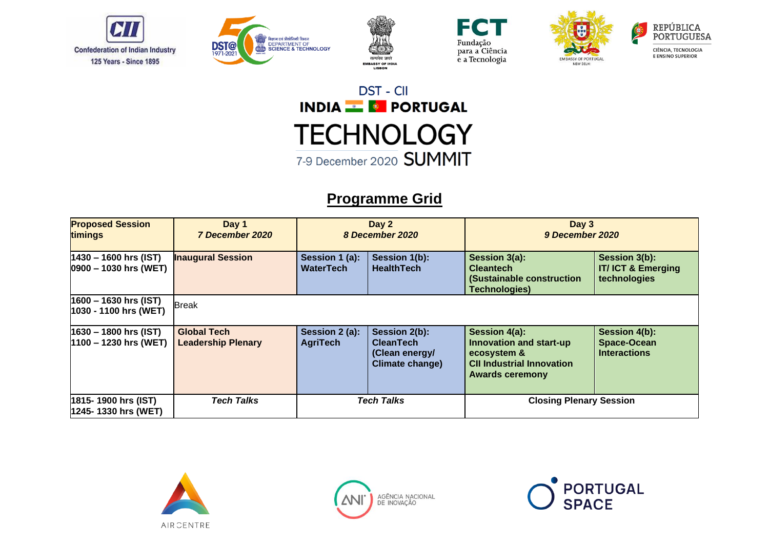











### **Programme Grid**

| <b>Proposed Session</b><br>timings                | Day 1<br>7 December 2020                        |                                    | Day 2<br>8 December 2020                                                      | Day 3<br>9 December 2020                                                                                              |                                                               |
|---------------------------------------------------|-------------------------------------------------|------------------------------------|-------------------------------------------------------------------------------|-----------------------------------------------------------------------------------------------------------------------|---------------------------------------------------------------|
| 1430 – 1600 hrs (IST)<br>$ 0900 - 1030$ hrs (WET) | <b>Inaugural Session</b>                        | Session 1 (a):<br><b>WaterTech</b> | Session 1(b):<br><b>HealthTech</b>                                            | Session 3(a):<br><b>Cleantech</b><br>(Sustainable construction<br><b>Technologies)</b>                                | Session 3(b):<br><b>IT/ICT &amp; Emerging</b><br>technologies |
| $1600 - 1630$ hrs (IST)<br>1030 - 1100 hrs (WET)  | <b>Break</b>                                    |                                    |                                                                               |                                                                                                                       |                                                               |
| 1630 – 1800 hrs (IST)<br>$1100 - 1230$ hrs (WET)  | <b>Global Tech</b><br><b>Leadership Plenary</b> | Session 2 (a):<br><b>AgriTech</b>  | Session 2(b):<br><b>CleanTech</b><br>(Clean energy/<br><b>Climate change)</b> | Session 4(a):<br>Innovation and start-up<br>ecosystem &<br><b>CII Industrial Innovation</b><br><b>Awards ceremony</b> | Session 4(b):<br><b>Space-Ocean</b><br><b>Interactions</b>    |
| 1815- 1900 hrs (IST)<br>1245- 1330 hrs (WET)      | <b>Tech Talks</b>                               |                                    | <b>Tech Talks</b>                                                             | <b>Closing Plenary Session</b>                                                                                        |                                                               |





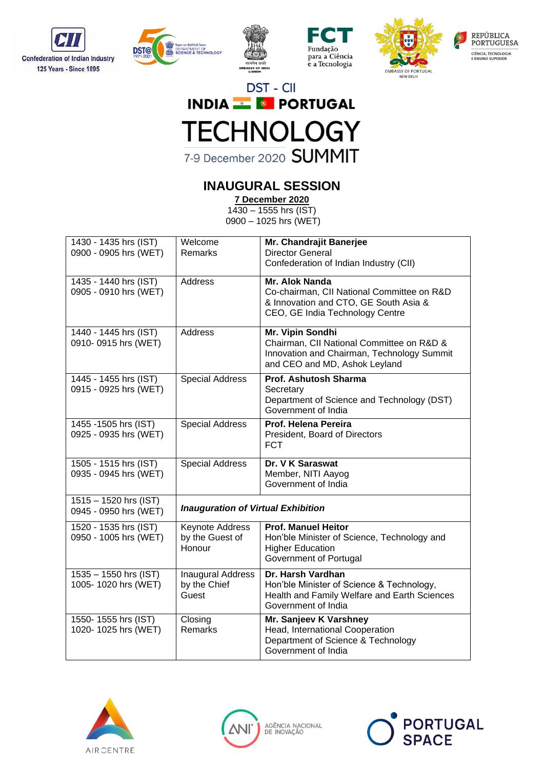











### **INAUGURAL SESSION**

**7 December 2020**

1430 – 1555 hrs (IST) 0900 – 1025 hrs (WET)

| 1430 - 1435 hrs (IST)                          | Welcome                                           | Mr. Chandrajit Banerjee                                                                                                                      |  |
|------------------------------------------------|---------------------------------------------------|----------------------------------------------------------------------------------------------------------------------------------------------|--|
| 0900 - 0905 hrs (WET)                          | Remarks                                           | <b>Director General</b><br>Confederation of Indian Industry (CII)                                                                            |  |
|                                                |                                                   |                                                                                                                                              |  |
| 1435 - 1440 hrs (IST)<br>0905 - 0910 hrs (WET) | Address                                           | Mr. Alok Nanda<br>Co-chairman, CII National Committee on R&D<br>& Innovation and CTO, GE South Asia &<br>CEO, GE India Technology Centre     |  |
| 1440 - 1445 hrs (IST)<br>0910-0915 hrs (WET)   | Address                                           | Mr. Vipin Sondhi<br>Chairman, CII National Committee on R&D &<br>Innovation and Chairman, Technology Summit<br>and CEO and MD, Ashok Leyland |  |
| 1445 - 1455 hrs (IST)<br>0915 - 0925 hrs (WET) | <b>Special Address</b>                            | Prof. Ashutosh Sharma<br>Secretary<br>Department of Science and Technology (DST)<br>Government of India                                      |  |
| 1455 -1505 hrs (IST)<br>0925 - 0935 hrs (WET)  | <b>Special Address</b>                            | Prof. Helena Pereira<br>President, Board of Directors<br><b>FCT</b>                                                                          |  |
| 1505 - 1515 hrs (IST)<br>0935 - 0945 hrs (WET) | <b>Special Address</b>                            | Dr. V K Saraswat<br>Member, NITI Aayog<br>Government of India                                                                                |  |
| 1515 - 1520 hrs (IST)<br>0945 - 0950 hrs (WET) |                                                   | <b>Inauguration of Virtual Exhibition</b>                                                                                                    |  |
| 1520 - 1535 hrs (IST)<br>0950 - 1005 hrs (WET) | Keynote Address<br>by the Guest of<br>Honour      | <b>Prof. Manuel Heitor</b><br>Hon'ble Minister of Science, Technology and<br><b>Higher Education</b><br>Government of Portugal               |  |
| 1535 - 1550 hrs (IST)<br>1005-1020 hrs (WET)   | <b>Inaugural Address</b><br>by the Chief<br>Guest | Dr. Harsh Vardhan<br>Hon'ble Minister of Science & Technology,<br>Health and Family Welfare and Earth Sciences<br>Government of India        |  |
| 1550-1555 hrs (IST)<br>1020-1025 hrs (WET)     | Closing<br>Remarks                                | Mr. Sanjeev K Varshney<br>Head, International Cooperation<br>Department of Science & Technology<br>Government of India                       |  |





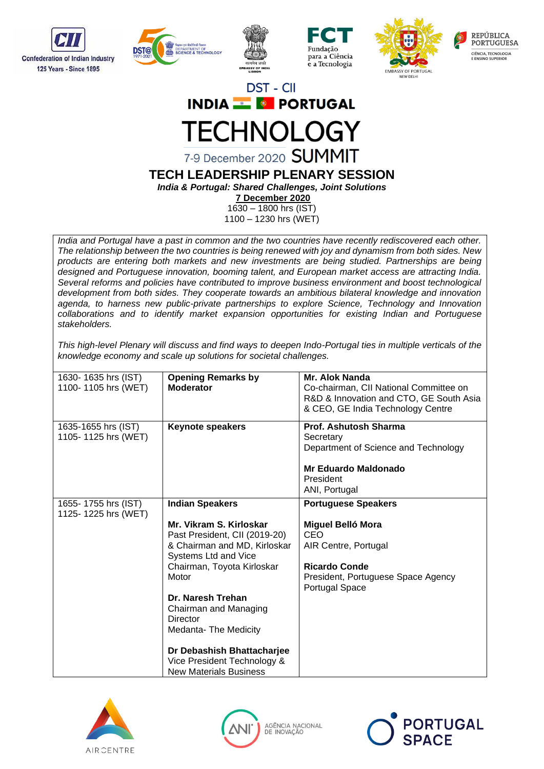











7-9 December 2020 SUMMIT

#### **TECH LEADERSHIP PLENARY SESSION** *India & Portugal: Shared Challenges, Joint Solutions*

**7 December 2020**

1630 – 1800 hrs (IST) 1100 – 1230 hrs (WET)

*India and Portugal have a past in common and the two countries have recently rediscovered each other. The relationship between the two countries is being renewed with joy and dynamism from both sides. New products are entering both markets and new investments are being studied. Partnerships are being designed and Portuguese innovation, booming talent, and European market access are attracting India. Several reforms and policies have contributed to improve business environment and boost technological development from both sides. They cooperate towards an ambitious bilateral knowledge and innovation agenda, to harness new public-private partnerships to explore Science, Technology and Innovation collaborations and to identify market expansion opportunities for existing Indian and Portuguese stakeholders.* 

*This high-level Plenary will discuss and find ways to deepen Indo-Portugal ties in multiple verticals of the knowledge economy and scale up solutions for societal challenges.*

| 1630-1635 hrs (IST)<br>1100-1105 hrs (WET) | <b>Opening Remarks by</b><br><b>Moderator</b>                                                                                                                                                                                                                                                                                                                     | <b>Mr. Alok Nanda</b><br>Co-chairman, CII National Committee on<br>R&D & Innovation and CTO, GE South Asia<br>& CEO, GE India Technology Centre                              |
|--------------------------------------------|-------------------------------------------------------------------------------------------------------------------------------------------------------------------------------------------------------------------------------------------------------------------------------------------------------------------------------------------------------------------|------------------------------------------------------------------------------------------------------------------------------------------------------------------------------|
| 1635-1655 hrs (IST)<br>1105-1125 hrs (WET) | <b>Keynote speakers</b>                                                                                                                                                                                                                                                                                                                                           | Prof. Ashutosh Sharma<br>Secretary<br>Department of Science and Technology<br>Mr Eduardo Maldonado<br>President<br>ANI, Portugal                                             |
| 1655-1755 hrs (IST)<br>1125-1225 hrs (WET) | <b>Indian Speakers</b><br>Mr. Vikram S. Kirloskar<br>Past President, CII (2019-20)<br>& Chairman and MD, Kirloskar<br>Systems Ltd and Vice<br>Chairman, Toyota Kirloskar<br>Motor<br>Dr. Naresh Trehan<br>Chairman and Managing<br>Director<br>Medanta-The Medicity<br>Dr Debashish Bhattacharjee<br>Vice President Technology &<br><b>New Materials Business</b> | <b>Portuguese Speakers</b><br><b>Miguel Belló Mora</b><br><b>CEO</b><br>AIR Centre, Portugal<br><b>Ricardo Conde</b><br>President, Portuguese Space Agency<br>Portugal Space |





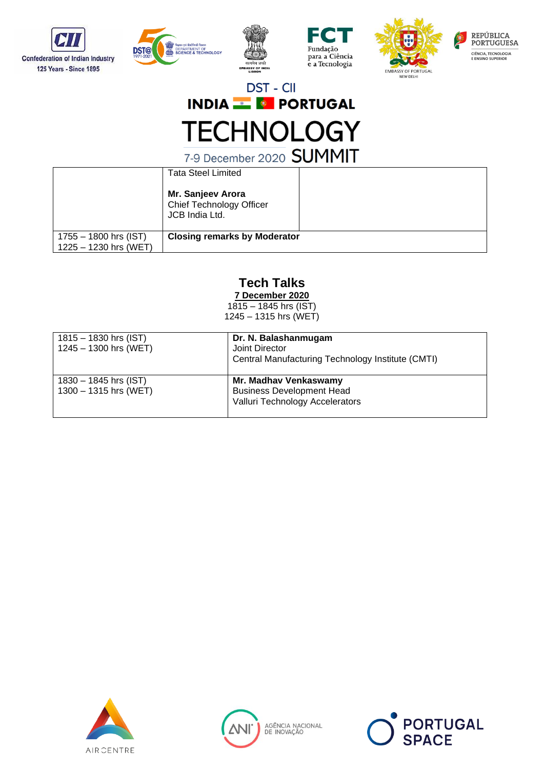









7-9 December 2020 SUMMIT

|                         | <b>Tata Steel Limited</b>                                       |  |
|-------------------------|-----------------------------------------------------------------|--|
|                         | Mr. Sanjeev Arora<br>Chief Technology Officer<br>JCB India Ltd. |  |
| $1755 - 1800$ hrs (IST) | <b>Closing remarks by Moderator</b>                             |  |
| 1225 - 1230 hrs (WET)   |                                                                 |  |

### **Tech Talks**

**7 December 2020**

1815 – 1845 hrs (IST) 1245 – 1315 hrs (WET)

| $1815 - 1830$ hrs (IST)<br>$1245 - 1300$ hrs (WET) | Dr. N. Balashanmugam<br>Joint Director<br>Central Manufacturing Technology Institute (CMTI)  |
|----------------------------------------------------|----------------------------------------------------------------------------------------------|
| $1830 - 1845$ hrs (IST)<br>$1300 - 1315$ hrs (WET) | Mr. Madhav Venkaswamy<br><b>Business Development Head</b><br>Valluri Technology Accelerators |





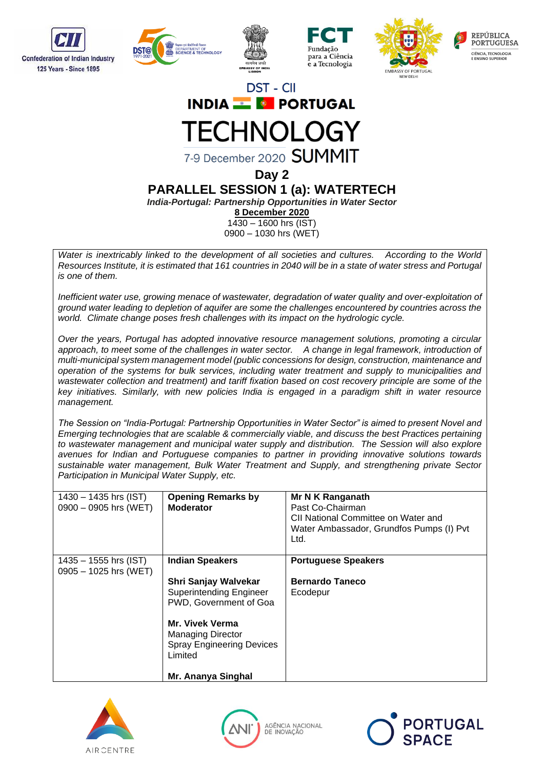











7-9 December 2020 SUMMIT

**Day 2**

**PARALLEL SESSION 1 (a): WATERTECH**

*India-Portugal: Partnership Opportunities in Water Sector*

**8 December 2020**

1430 – 1600 hrs (IST) 0900 – 1030 hrs (WET)

*Water is inextricably linked to the development of all societies and cultures. According to the World Resources Institute, it is estimated that 161 countries in 2040 will be in a state of water stress and Portugal is one of them.*

*Inefficient water use, growing menace of wastewater, degradation of water quality and over-exploitation of ground water leading to depletion of aquifer are some the challenges encountered by countries across the world. Climate change poses fresh challenges with its impact on the hydrologic cycle.* 

*Over the years, Portugal has adopted innovative resource management solutions, promoting a circular*  approach, to meet some of the challenges in water sector. A change in legal framework, introduction of *multi-municipal system management model (public concessions for design, construction, maintenance and operation of the systems for bulk services, including water treatment and supply to municipalities and wastewater collection and treatment) and tariff fixation based on cost recovery principle are some of the key initiatives. Similarly, with new policies India is engaged in a paradigm shift in water resource management.* 

*The Session on "India-Portugal: Partnership Opportunities in Water Sector" is aimed to present Novel and Emerging technologies that are scalable & commercially viable, and discuss the best Practices pertaining to wastewater management and municipal water supply and distribution. The Session will also explore avenues for Indian and Portuguese companies to partner in providing innovative solutions towards sustainable water management, Bulk Water Treatment and Supply, and strengthening private Sector Participation in Municipal Water Supply, etc.* 

| $1430 - 1435$ hrs (IST)<br>$0900 - 0905$ hrs (WET) | <b>Opening Remarks by</b><br><b>Moderator</b>                                                     | Mr N K Ranganath<br>Past Co-Chairman<br>CII National Committee on Water and<br>Water Ambassador, Grundfos Pumps (I) Pvt<br>Ltd. |
|----------------------------------------------------|---------------------------------------------------------------------------------------------------|---------------------------------------------------------------------------------------------------------------------------------|
| $1435 - 1555$ hrs (IST)<br>$0905 - 1025$ hrs (WET) | <b>Indian Speakers</b>                                                                            | <b>Portuguese Speakers</b>                                                                                                      |
|                                                    | <b>Shri Sanjay Walvekar</b><br><b>Superintending Engineer</b><br>PWD, Government of Goa           | <b>Bernardo Taneco</b><br>Ecodepur                                                                                              |
|                                                    | <b>Mr. Vivek Verma</b><br><b>Managing Director</b><br><b>Spray Engineering Devices</b><br>Limited |                                                                                                                                 |
|                                                    | Mr. Ananya Singhal                                                                                |                                                                                                                                 |





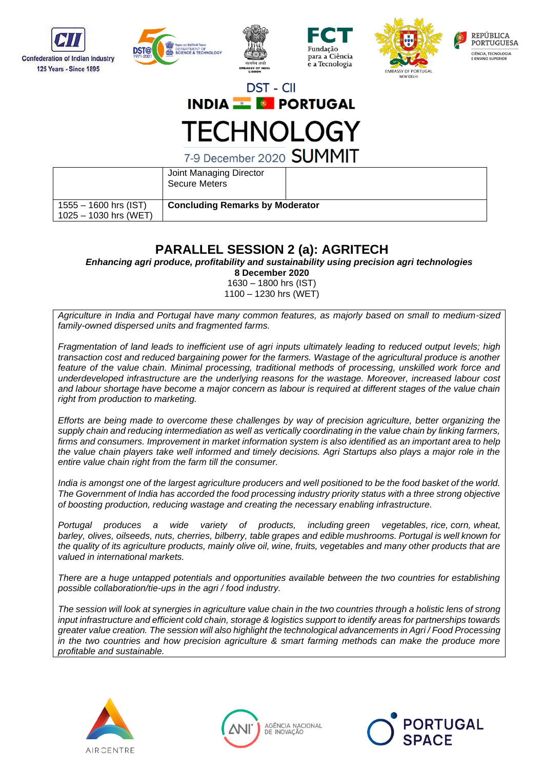









7-9 December 2020 SUMMIT

|                         | Joint Managing Director<br><b>Secure Meters</b> |  |
|-------------------------|-------------------------------------------------|--|
| $1555 - 1600$ hrs (IST) | <b>Concluding Remarks by Moderator</b>          |  |
| $1025 - 1030$ hrs (WET) |                                                 |  |

### **PARALLEL SESSION 2 (a): AGRITECH**

*Enhancing agri produce, profitability and sustainability using precision agri technologies*

**8 December 2020**

1630 – 1800 hrs (IST) 1100 – 1230 hrs (WET)

*Agriculture in India and Portugal have many common features, as majorly based on small to medium-sized family-owned dispersed units and fragmented farms.* 

*Fragmentation of land leads to inefficient use of agri inputs ultimately leading to reduced output levels; high transaction cost and reduced bargaining power for the farmers. Wastage of the agricultural produce is another feature of the value chain. Minimal processing, traditional methods of processing, unskilled work force and underdeveloped infrastructure are the underlying reasons for the wastage. Moreover, increased labour cost and labour shortage have become a major concern as labour is required at different stages of the value chain right from production to marketing.* 

*Efforts are being made to overcome these challenges by way of precision agriculture, better organizing the supply chain and reducing intermediation as well as vertically coordinating in the value chain by linking farmers, firms and consumers. Improvement in market information system is also identified as an important area to help the value chain players take well informed and timely decisions. Agri Startups also plays a major role in the entire value chain right from the farm till the consumer.*

*India is amongst one of the largest agriculture producers and well positioned to be the food basket of the world. The Government of India has accorded the food processing industry priority status with a three strong objective of boosting production, reducing wastage and creating the necessary enabling infrastructure.*

*Portugal produces a wide variety of products, including [green vegetables,](https://en.wikipedia.org/wiki/Green_vegetables) [rice,](https://en.wikipedia.org/wiki/Rice) [corn,](https://en.wikipedia.org/wiki/Corn) [wheat,](https://en.wikipedia.org/wiki/Wheat) [barley,](https://en.wikipedia.org/wiki/Barley) [olives,](https://en.wikipedia.org/wiki/Olive) [oilseeds,](https://en.wikipedia.org/wiki/Oilseed) [nuts,](https://en.wikipedia.org/wiki/Nut_(fruit)) [cherries,](https://en.wikipedia.org/wiki/Cherries) [bilberry,](https://en.wikipedia.org/wiki/Bilberry) [table grapes](https://en.wikipedia.org/wiki/Table_grapes) and [edible mushrooms.](https://en.wikipedia.org/wiki/Edible_mushroom) Portugal is well known for the quality of its agriculture products, mainly olive oil, wine, fruits, vegetables and many other products that are valued in international markets.* 

*There are a huge untapped potentials and opportunities available between the two countries for establishing possible collaboration/tie-ups in the agri / food industry.*

*The session will look at synergies in agriculture value chain in the two countries through a holistic lens of strong input infrastructure and efficient cold chain, storage & logistics support to identify areas for partnerships towards greater value creation. The session will also highlight the technological advancements in Agri / Food Processing in the two countries and how precision agriculture & smart farming methods can make the produce more profitable and sustainable.*





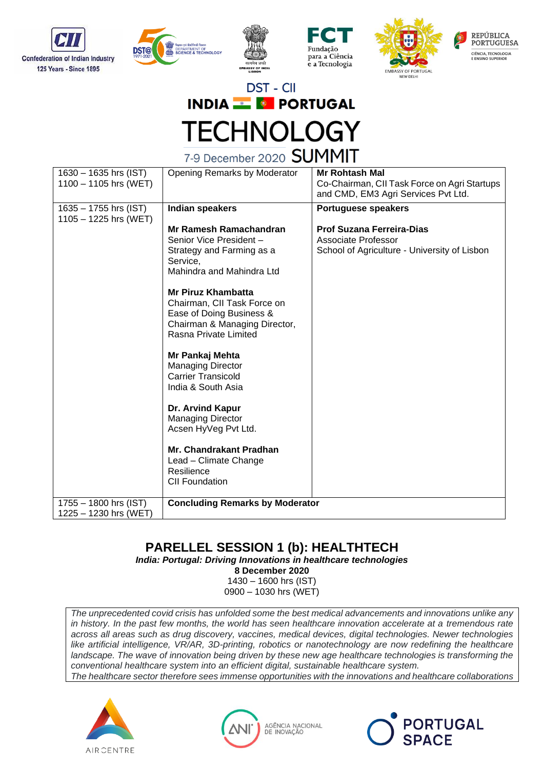









7-9 December 2020 SUMMIT

| 1630 - 1635 hrs (IST)<br>$1100 - 1105$ hrs (WET) | <b>Opening Remarks by Moderator</b>                                                                                                            | <b>Mr Rohtash Mal</b><br>Co-Chairman, CII Task Force on Agri Startups<br>and CMD, EM3 Agri Services Pvt Ltd. |
|--------------------------------------------------|------------------------------------------------------------------------------------------------------------------------------------------------|--------------------------------------------------------------------------------------------------------------|
| $1635 - 1755$ hrs (IST)<br>1105 - 1225 hrs (WET) | Indian speakers                                                                                                                                | <b>Portuguese speakers</b>                                                                                   |
|                                                  | Mr Ramesh Ramachandran<br>Senior Vice President-<br>Strategy and Farming as a<br>Service,<br>Mahindra and Mahindra Ltd                         | <b>Prof Suzana Ferreira-Dias</b><br>Associate Professor<br>School of Agriculture - University of Lisbon      |
|                                                  | <b>Mr Piruz Khambatta</b><br>Chairman, CII Task Force on<br>Ease of Doing Business &<br>Chairman & Managing Director,<br>Rasna Private Limited |                                                                                                              |
|                                                  | Mr Pankaj Mehta<br><b>Managing Director</b><br><b>Carrier Transicold</b><br>India & South Asia                                                 |                                                                                                              |
|                                                  | Dr. Arvind Kapur<br><b>Managing Director</b><br>Acsen HyVeg Pvt Ltd.                                                                           |                                                                                                              |
|                                                  | Mr. Chandrakant Pradhan<br>Lead - Climate Change<br>Resilience<br><b>CII Foundation</b>                                                        |                                                                                                              |
| $1755 - 1800$ hrs (IST)<br>1225 - 1230 hrs (WET) | <b>Concluding Remarks by Moderator</b>                                                                                                         |                                                                                                              |

### **PARELLEL SESSION 1 (b): HEALTHTECH**

*India: Portugal: Driving Innovations in healthcare technologies*

**8 December 2020**

1430 – 1600 hrs (IST) 0900 – 1030 hrs (WET)

*The unprecedented covid crisis has unfolded some the best medical advancements and innovations unlike any*  in history. In the past few months, the world has seen healthcare innovation accelerate at a tremendous rate *across all areas such as drug discovery, vaccines, medical devices, digital technologies. Newer technologies like artificial intelligence, VR/AR, 3D-printing, robotics or nanotechnology are now redefining the healthcare landscape. The wave of innovation being driven by these new age healthcare technologies is transforming the conventional healthcare system into an efficient digital, sustainable healthcare system. The healthcare sector therefore sees immense opportunities with the innovations and healthcare collaborations* 





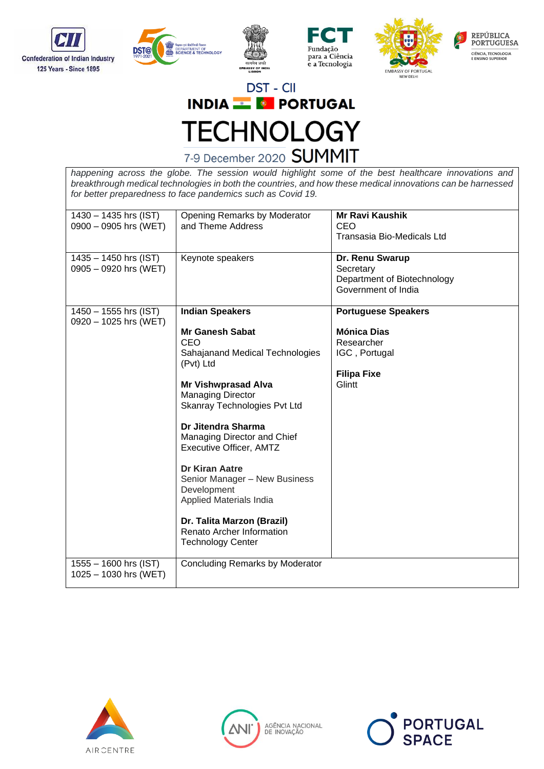









*happening across the globe. The session would highlight some of the best healthcare innovations and breakthrough medical technologies in both the countries, and how these medical innovations can be harnessed for better preparedness to face pandemics such as Covid 19.*

| 1430 - 1435 hrs (IST)<br>0900 - 0905 hrs (WET)     | Opening Remarks by Moderator<br>and Theme Address                                                                                                                                                                                                                                                                                                                                     | <b>Mr Ravi Kaushik</b><br>CEO<br>Transasia Bio-Medicals Ltd                                                     |
|----------------------------------------------------|---------------------------------------------------------------------------------------------------------------------------------------------------------------------------------------------------------------------------------------------------------------------------------------------------------------------------------------------------------------------------------------|-----------------------------------------------------------------------------------------------------------------|
| 1435 - 1450 hrs (IST)<br>$0905 - 0920$ hrs (WET)   | Keynote speakers                                                                                                                                                                                                                                                                                                                                                                      | Dr. Renu Swarup<br>Secretary<br>Department of Biotechnology<br>Government of India                              |
| $1450 - 1555$ hrs (IST)<br>0920 - 1025 hrs (WET)   | <b>Indian Speakers</b><br><b>Mr Ganesh Sabat</b><br>CEO<br>Sahajanand Medical Technologies<br>(Pvt) Ltd<br><b>Mr Vishwprasad Alva</b><br><b>Managing Director</b><br>Skanray Technologies Pvt Ltd<br>Dr Jitendra Sharma<br>Managing Director and Chief<br>Executive Officer, AMTZ<br><b>Dr Kiran Aatre</b><br>Senior Manager - New Business<br>Development<br>Applied Materials India | <b>Portuguese Speakers</b><br><b>Mónica Dias</b><br>Researcher<br>IGC, Portugal<br><b>Filipa Fixe</b><br>Glintt |
| $1555 - 1600$ hrs (IST)<br>$1025 - 1030$ hrs (WET) | Dr. Talita Marzon (Brazil)<br>Renato Archer Information<br><b>Technology Center</b><br>Concluding Remarks by Moderator                                                                                                                                                                                                                                                                |                                                                                                                 |





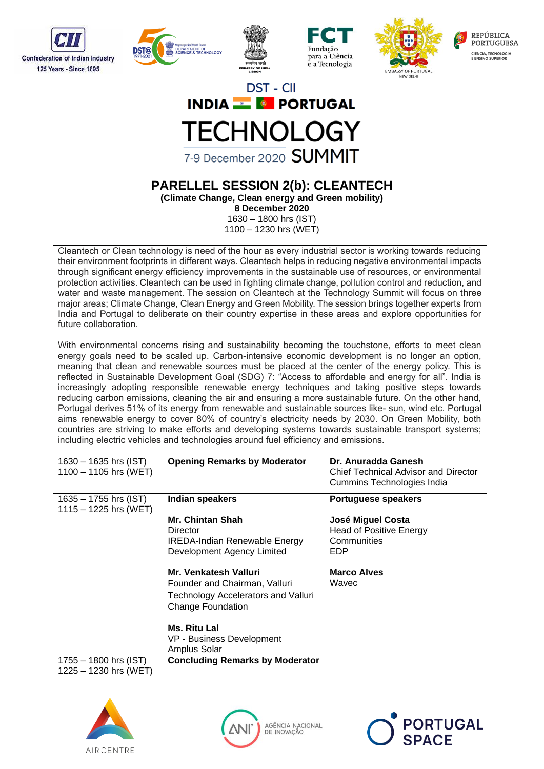









### **PARELLEL SESSION 2(b): CLEANTECH (Climate Change, Clean energy and Green mobility)**

**8 December 2020**

1630 – 1800 hrs (IST) 1100 – 1230 hrs (WET)

Cleantech or Clean technology is need of the hour as every industrial sector is working towards reducing their environment footprints in different ways. Cleantech helps in reducing negative environmental impacts through significant energy efficiency improvements in the sustainable use of resources, or environmental protection activities. Cleantech can be used in fighting climate change, pollution control and reduction, and water and waste management. The session on Cleantech at the Technology Summit will focus on three major areas; Climate Change, Clean Energy and Green Mobility. The session brings together experts from India and Portugal to deliberate on their country expertise in these areas and explore opportunities for future collaboration.

With environmental concerns rising and sustainability becoming the touchstone, efforts to meet clean energy goals need to be scaled up. Carbon-intensive economic development is no longer an option, meaning that clean and renewable sources must be placed at the center of the energy policy. This is reflected in Sustainable Development Goal (SDG) 7: "Access to affordable and energy for all". India is increasingly adopting responsible renewable energy techniques and taking positive steps towards reducing carbon emissions, cleaning the air and ensuring a more sustainable future. On the other hand, Portugal derives 51% of its energy from renewable and sustainable sources like- sun, wind etc. Portugal aims renewable energy to cover 80% of country's electricity needs by 2030. On Green Mobility, both countries are striving to make efforts and developing systems towards sustainable transport systems; including electric vehicles and technologies around fuel efficiency and emissions.

| $1630 - 1635$ hrs (IST)<br>$1100 - 1105$ hrs (WET) | <b>Opening Remarks by Moderator</b>                                                                                                                                         | Dr. Anuradda Ganesh<br><b>Chief Technical Advisor and Director</b><br>Cummins Technologies India |
|----------------------------------------------------|-----------------------------------------------------------------------------------------------------------------------------------------------------------------------------|--------------------------------------------------------------------------------------------------|
| $1635 - 1755$ hrs (IST)<br>$1115 - 1225$ hrs (WET) | Indian speakers                                                                                                                                                             | Portuguese speakers                                                                              |
|                                                    | <b>Mr. Chintan Shah</b><br>Director<br><b>IREDA-Indian Renewable Energy</b><br>Development Agency Limited<br>Mr. Venkatesh Valluri                                          | José Miguel Costa<br><b>Head of Positive Energy</b><br>Communities<br>EDP<br><b>Marco Alves</b>  |
|                                                    | Founder and Chairman, Valluri<br><b>Technology Accelerators and Valluri</b><br><b>Change Foundation</b><br><b>Ms. Ritu Lal</b><br>VP - Business Development<br>Amplus Solar | Wavec                                                                                            |
| 1755 - 1800 hrs (IST)<br>$1225 - 1230$ hrs (WET)   | <b>Concluding Remarks by Moderator</b>                                                                                                                                      |                                                                                                  |





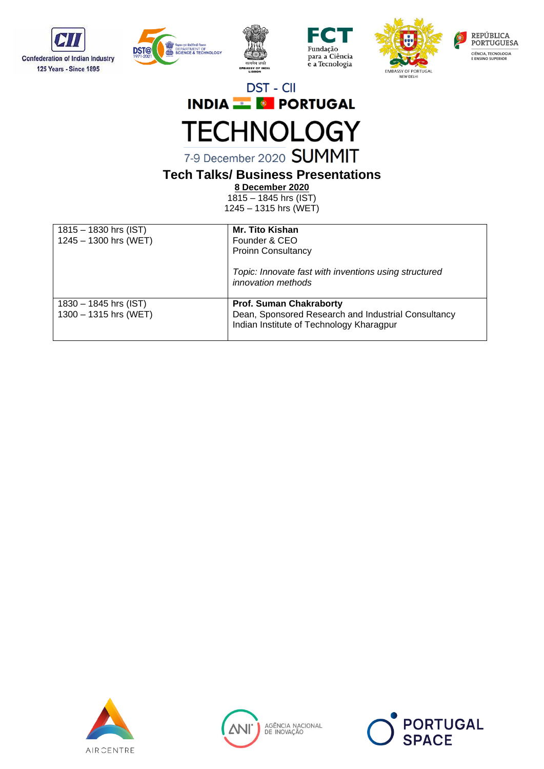









7-9 December 2020 SUMMIT

### **Tech Talks/ Business Presentations**

**8 December 2020**

1815 – 1845 hrs (IST) 1245 – 1315 hrs (WET)

| $1815 - 1830$ hrs (IST)<br>$1245 - 1300$ hrs (WET) | <b>Mr. Tito Kishan</b><br>Founder & CEO<br><b>Proinn Consultancy</b>                                                              |
|----------------------------------------------------|-----------------------------------------------------------------------------------------------------------------------------------|
|                                                    | Topic: Innovate fast with inventions using structured<br>innovation methods                                                       |
| 1830 - 1845 hrs (IST)<br>1300 - 1315 hrs (WET)     | <b>Prof. Suman Chakraborty</b><br>Dean, Sponsored Research and Industrial Consultancy<br>Indian Institute of Technology Kharagpur |





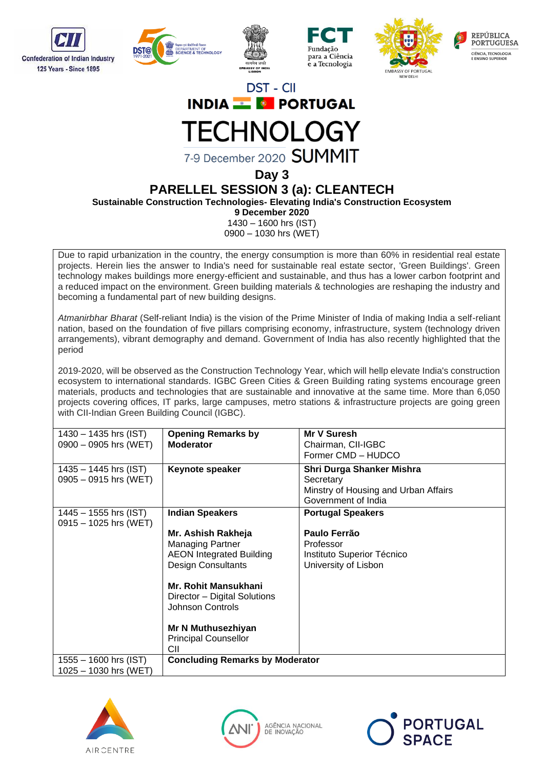











7-9 December 2020 SUMMIT

**Day 3**

### **PARELLEL SESSION 3 (a): CLEANTECH**

**Sustainable Construction Technologies- Elevating India's Construction Ecosystem**

**9 December 2020**

1430 – 1600 hrs (IST) 0900 – 1030 hrs (WET)

Due to rapid urbanization in the country, the energy consumption is more than 60% in residential real estate projects. Herein lies the answer to India's need for sustainable real estate sector, 'Green Buildings'. Green technology makes buildings more energy-efficient and sustainable, and thus has a lower carbon footprint and a reduced impact on the environment. Green building materials & technologies are reshaping the industry and becoming a fundamental part of new building designs.

*Atmanirbhar Bharat* (Self-reliant India) is the vision of the Prime Minister of India of making India a self-reliant nation, based on the foundation of five pillars comprising economy, infrastructure, system (technology driven arrangements), vibrant demography and demand. Government of India has also recently highlighted that the period

2019-2020, will be observed as the Construction Technology Year, which will hellp elevate India's construction ecosystem to international standards. IGBC Green Cities & Green Building rating systems encourage green materials, products and technologies that are sustainable and innovative at the same time. More than 6,050 projects covering offices, IT parks, large campuses, metro stations & infrastructure projects are going green with CII-Indian Green Building Council (IGBC).

| $1430 - 1435$ hrs (IST) | <b>Opening Remarks by</b>              | Mr V Suresh                          |
|-------------------------|----------------------------------------|--------------------------------------|
| $0900 - 0905$ hrs (WET) | <b>Moderator</b>                       | Chairman, CII-IGBC                   |
|                         |                                        | Former CMD - HUDCO                   |
|                         |                                        |                                      |
| $1435 - 1445$ hrs (IST) | Keynote speaker                        | Shri Durga Shanker Mishra            |
| $0905 - 0915$ hrs (WET) |                                        | Secretary                            |
|                         |                                        | Minstry of Housing and Urban Affairs |
|                         |                                        | Government of India                  |
| $1445 - 1555$ hrs (IST) | <b>Indian Speakers</b>                 | <b>Portugal Speakers</b>             |
| 0915 - 1025 hrs (WET)   |                                        |                                      |
|                         | Mr. Ashish Rakheja                     | Paulo Ferrão                         |
|                         |                                        |                                      |
|                         | <b>Managing Partner</b>                | Professor                            |
|                         | <b>AEON Integrated Building</b>        | Instituto Superior Técnico           |
|                         | <b>Design Consultants</b>              | University of Lisbon                 |
|                         |                                        |                                      |
|                         | <b>Mr. Rohit Mansukhani</b>            |                                      |
|                         | Director – Digital Solutions           |                                      |
|                         | Johnson Controls                       |                                      |
|                         |                                        |                                      |
|                         |                                        |                                      |
|                         | Mr N Muthusezhiyan                     |                                      |
|                         | <b>Principal Counsellor</b>            |                                      |
|                         | CII                                    |                                      |
| $1555 - 1600$ hrs (IST) | <b>Concluding Remarks by Moderator</b> |                                      |
| $1025 - 1030$ hrs (WET) |                                        |                                      |





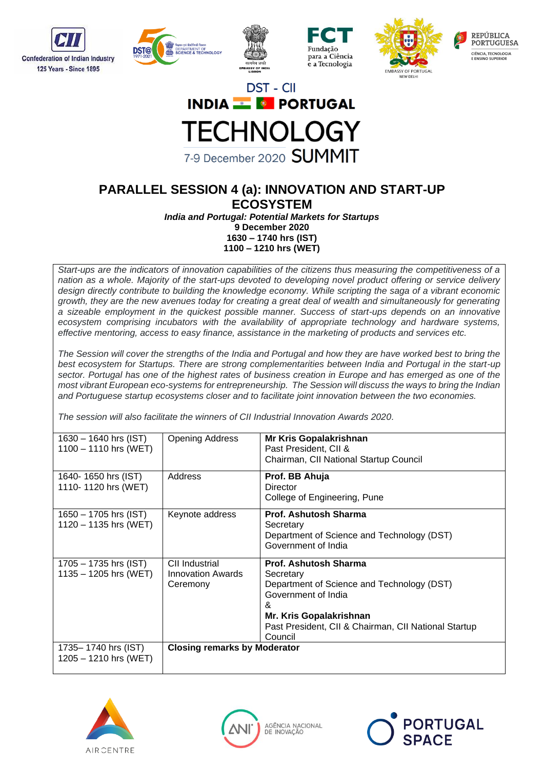









## **PARALLEL SESSION 4 (a): INNOVATION AND START-UP**

**ECOSYSTEM**

*India and Portugal: Potential Markets for Startups*

**9 December 2020**

**1630 – 1740 hrs (IST) 1100 – 1210 hrs (WET)**

*Start-ups are the indicators of innovation capabilities of the citizens thus measuring the competitiveness of a nation as a whole. Majority of the start-ups devoted to developing novel product offering or service delivery design directly contribute to building the knowledge economy. While scripting the saga of a vibrant economic growth, they are the new avenues today for creating a great deal of wealth and simultaneously for generating a sizeable employment in the quickest possible manner. Success of start-ups depends on an innovative ecosystem comprising incubators with the availability of appropriate technology and hardware systems, effective mentoring, access to easy finance, assistance in the marketing of products and services etc.*

*The Session will cover the strengths of the India and Portugal and how they are have worked best to bring the best ecosystem for Startups. There are strong complementarities between India and Portugal in the start-up sector. Portugal has one of the highest rates of business creation in Europe and has emerged as one of the most vibrant European eco-systems for entrepreneurship. The Session will discuss the ways to bring the Indian and Portuguese startup ecosystems closer and to facilitate joint innovation between the two economies.*

*The session will also facilitate the winners of CII Industrial Innovation Awards 2020.*

| $1630 - 1640$ hrs (IST)<br>$1100 - 1110$ hrs (WET) | <b>Opening Address</b>                                 | Mr Kris Gopalakrishnan<br>Past President, CII &<br>Chairman, CII National Startup Council                                                                                                                  |
|----------------------------------------------------|--------------------------------------------------------|------------------------------------------------------------------------------------------------------------------------------------------------------------------------------------------------------------|
| 1640-1650 hrs (IST)<br>1110-1120 hrs (WET)         | Address                                                | Prof. BB Ahuja<br><b>Director</b><br>College of Engineering, Pune                                                                                                                                          |
| $1650 - 1705$ hrs (IST)<br>$1120 - 1135$ hrs (WET) | Keynote address                                        | <b>Prof. Ashutosh Sharma</b><br>Secretary<br>Department of Science and Technology (DST)<br>Government of India                                                                                             |
| $1705 - 1735$ hrs (IST)<br>$1135 - 1205$ hrs (WET) | CII Industrial<br><b>Innovation Awards</b><br>Ceremony | Prof. Ashutosh Sharma<br>Secretary<br>Department of Science and Technology (DST)<br>Government of India<br>&<br>Mr. Kris Gopalakrishnan<br>Past President, CII & Chairman, CII National Startup<br>Council |
| 1735–1740 hrs (IST)<br>$1205 - 1210$ hrs (WET)     | <b>Closing remarks by Moderator</b>                    |                                                                                                                                                                                                            |





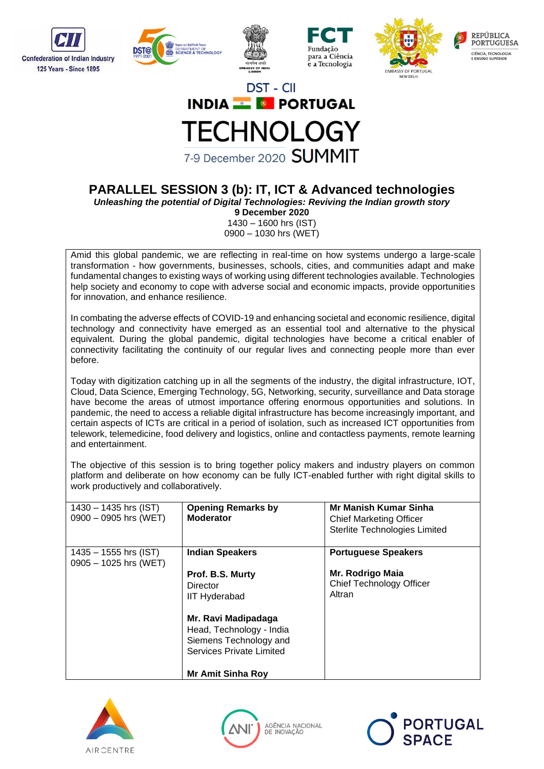









### **PARALLEL SESSION 3 (b): IT, ICT & Advanced technologies**

*Unleashing the potential of Digital Technologies: Reviving the Indian growth story*

**9 December 2020** 1430 – 1600 hrs (IST) 0900 – 1030 hrs (WET)

Amid this global pandemic, we are reflecting in real-time on how systems undergo a large-scale transformation - how governments, businesses, schools, cities, and communities adapt and make fundamental changes to existing ways of working using different technologies available. Technologies help society and economy to cope with adverse social and economic impacts, provide opportunities for innovation, and enhance resilience.

In combating the adverse effects of COVID-19 and enhancing societal and economic resilience, digital technology and connectivity have emerged as an essential tool and alternative to the physical equivalent. During the global pandemic, digital technologies have become a critical enabler of connectivity facilitating the continuity of our regular lives and connecting people more than ever before.

Today with digitization catching up in all the segments of the industry, the digital infrastructure, IOT, Cloud, Data Science, Emerging Technology, 5G, Networking, security, surveillance and Data storage have become the areas of utmost importance offering enormous opportunities and solutions. In pandemic, the need to access a reliable digital infrastructure has become increasingly important, and certain aspects of ICTs are critical in a period of isolation, such as increased ICT opportunities from telework, telemedicine, food delivery and logistics, online and contactless payments, remote learning and entertainment.

The objective of this session is to bring together policy makers and industry players on common platform and deliberate on how economy can be fully ICT-enabled further with right digital skills to work productively and collaboratively.

| $1430 - 1435$ hrs (IST)<br>$0900 - 0905$ hrs (WET) | <b>Opening Remarks by</b><br><b>Moderator</b> | <b>Mr Manish Kumar Sinha</b><br><b>Chief Marketing Officer</b><br>Sterlite Technologies Limited |
|----------------------------------------------------|-----------------------------------------------|-------------------------------------------------------------------------------------------------|
| $1435 - 1555$ hrs (IST)<br>$0905 - 1025$ hrs (WET) | <b>Indian Speakers</b>                        | <b>Portuguese Speakers</b>                                                                      |
|                                                    | Prof. B.S. Murty                              | Mr. Rodrigo Maia                                                                                |
|                                                    | Director                                      | <b>Chief Technology Officer</b>                                                                 |
|                                                    |                                               | Altran                                                                                          |
|                                                    | <b>IIT Hyderabad</b>                          |                                                                                                 |
|                                                    | Mr. Ravi Madipadaga                           |                                                                                                 |
|                                                    | Head, Technology - India                      |                                                                                                 |
|                                                    |                                               |                                                                                                 |
|                                                    | Siemens Technology and                        |                                                                                                 |
|                                                    | Services Private Limited                      |                                                                                                 |
|                                                    | <b>Mr Amit Sinha Roy</b>                      |                                                                                                 |





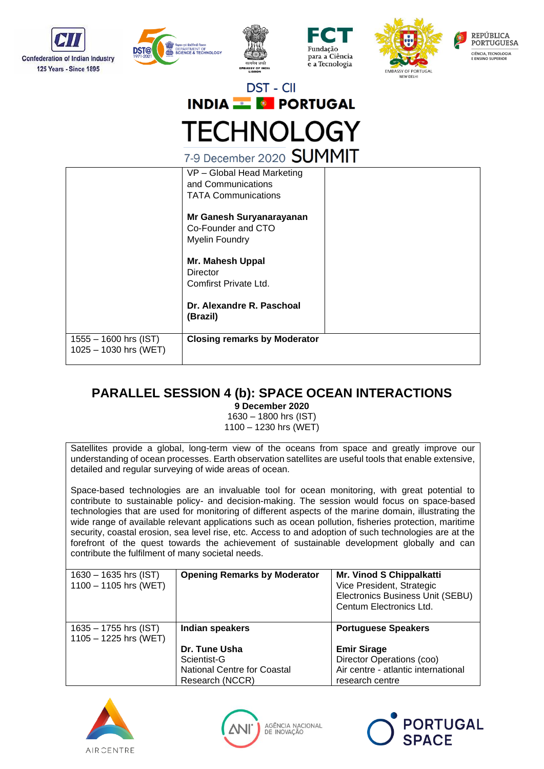









|                                                    | $1 - 9$ December 2020 $\bigcup$ U 'II'II I                                     |
|----------------------------------------------------|--------------------------------------------------------------------------------|
|                                                    | VP - Global Head Marketing<br>and Communications<br><b>TATA Communications</b> |
|                                                    | Mr Ganesh Suryanarayanan<br>Co-Founder and CTO<br><b>Myelin Foundry</b>        |
|                                                    | Mr. Mahesh Uppal<br>Director<br>Comfirst Private Ltd.                          |
|                                                    | Dr. Alexandre R. Paschoal<br>(Brazil)                                          |
| $1555 - 1600$ hrs (IST)<br>$1025 - 1030$ hrs (WET) | <b>Closing remarks by Moderator</b>                                            |

### **PARALLEL SESSION 4 (b): SPACE OCEAN INTERACTIONS**

**9 December 2020**

1630 – 1800 hrs (IST) 1100 – 1230 hrs (WET)

Satellites provide a global, long-term view of the oceans from space and greatly improve our understanding of ocean processes. Earth observation satellites are useful tools that enable extensive, detailed and regular surveying of wide areas of ocean.

Space-based technologies are an invaluable tool for ocean monitoring, with great potential to contribute to sustainable policy- and decision-making. The session would focus on space-based technologies that are used for monitoring of different aspects of the marine domain, illustrating the wide range of available relevant applications such as ocean pollution, fisheries protection, maritime security, coastal erosion, sea level rise, etc. Access to and adoption of such technologies are at the forefront of the quest towards the achievement of sustainable development globally and can contribute the fulfilment of many societal needs.

| $1630 - 1635$ hrs (IST)<br>$1100 - 1105$ hrs (WET) | <b>Opening Remarks by Moderator</b> | Mr. Vinod S Chippalkatti<br>Vice President, Strategic<br>Electronics Business Unit (SEBU)<br>Centum Electronics Ltd. |
|----------------------------------------------------|-------------------------------------|----------------------------------------------------------------------------------------------------------------------|
| $1635 - 1755$ hrs (IST)<br>$1105 - 1225$ hrs (WET) | Indian speakers                     | <b>Portuguese Speakers</b>                                                                                           |
|                                                    | Dr. Tune Usha                       | <b>Emir Sirage</b>                                                                                                   |
|                                                    | Scientist-G                         | Director Operations (coo)                                                                                            |
|                                                    | <b>National Centre for Coastal</b>  | Air centre - atlantic international                                                                                  |
|                                                    | Research (NCCR)                     | research centre                                                                                                      |